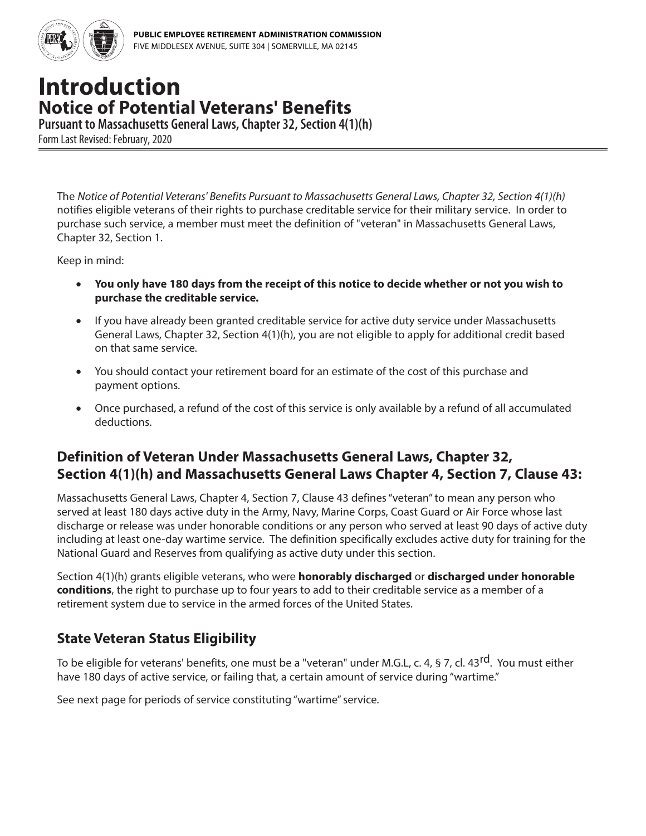

## **Introduction Notice of Potential Veterans' Benefits**

**Pursuant to Massachusetts General Laws, Chapter 32, Section 4(1)(h)** Form Last Revised: February, 2020

The *Notice of Potential Veterans' Benefits Pursuant to Massachusetts General Laws, Chapter 32, Section 4(1)(h)* notifies eligible veterans of their rights to purchase creditable service for their military service. In order to purchase such service, a member must meet the definition of "veteran" in Massachusetts General Laws, Chapter 32, Section 1.

Keep in mind:

- **You only have 180 days from the receipt of this notice to decide whether or not you wish to purchase the creditable service.**
- If you have already been granted creditable service for active duty service under Massachusetts General Laws, Chapter 32, Section 4(1)(h), you are not eligible to apply for additional credit based on that same service.
- You should contact your retirement board for an estimate of the cost of this purchase and payment options.
- Once purchased, a refund of the cost of this service is only available by a refund of all accumulated deductions.

### **Definition of Veteran Under Massachusetts General Laws, Chapter 32, Section 4(1)(h) and Massachusetts General Laws Chapter 4, Section 7, Clause 43:**

Massachusetts General Laws, Chapter 4, Section 7, Clause 43 defines "veteran" to mean any person who served at least 180 days active duty in the Army, Navy, Marine Corps, Coast Guard or Air Force whose last discharge or release was under honorable conditions or any person who served at least 90 days of active duty including at least one-day wartime service. The definition specifically excludes active duty for training for the National Guard and Reserves from qualifying as active duty under this section.

Section 4(1)(h) grants eligible veterans, who were **honorably discharged** or **discharged under honorable conditions**, the right to purchase up to four years to add to their creditable service as a member of a retirement system due to service in the armed forces of the United States.

#### **State Veteran Status Eligibility**

To be eligible for veterans' benefits, one must be a "veteran" under M.G.L, c. 4, § 7, cl. 43<sup>rd</sup>. You must either have 180 days of active service, or failing that, a certain amount of service during "wartime."

See next page for periods of service constituting "wartime" service.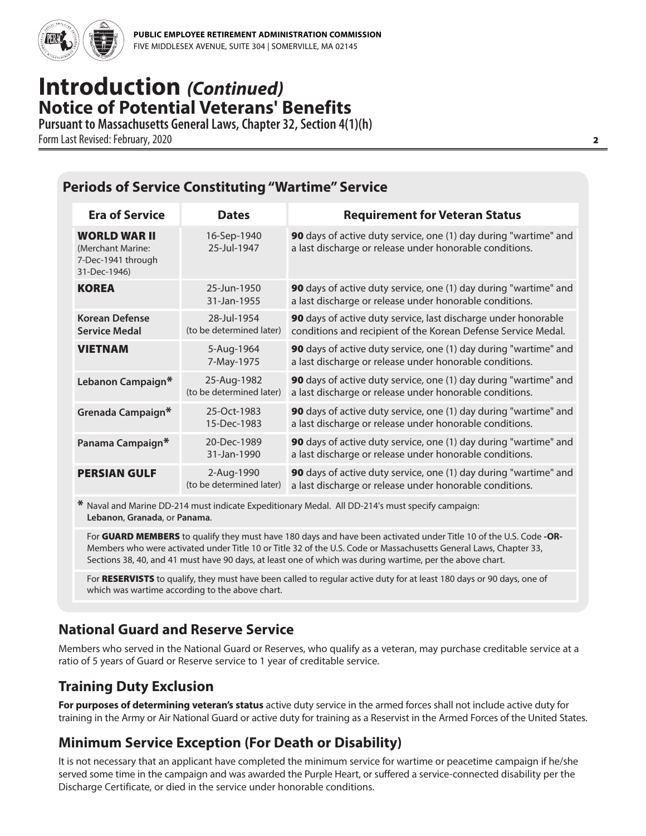

# **Introduction** *(Continued)* **Notice of Potential Veterans' Benefits**

**Pursuant to Massachusetts General Laws, Chapter 32, Section 4(1)(h)** Form Last Revised: February, 2020 2

## **Periods of Service Constituting "Wartime" Service**

| <b>Era of Service</b>                                                          | <b>Dates</b>                            | <b>Requirement for Veteran Status</b>                                                                                           |
|--------------------------------------------------------------------------------|-----------------------------------------|---------------------------------------------------------------------------------------------------------------------------------|
| <b>WORLD WAR II</b><br>(Merchant Marine:<br>7-Dec-1941 through<br>31-Dec-1946) | 16-Sep-1940<br>25-Jul-1947              | 90 days of active duty service, one (1) day during "wartime" and<br>a last discharge or release under honorable conditions.     |
| <b>KOREA</b>                                                                   | 25-Jun-1950<br>31-Jan-1955              | 90 days of active duty service, one (1) day during "wartime" and<br>a last discharge or release under honorable conditions.     |
| <b>Korean Defense</b><br><b>Service Medal</b>                                  | 28-Jul-1954<br>(to be determined later) | 90 days of active duty service, last discharge under honorable<br>conditions and recipient of the Korean Defense Service Medal. |
| <b>VIETNAM</b>                                                                 | 5-Aug-1964<br>7-May-1975                | 90 days of active duty service, one (1) day during "wartime" and<br>a last discharge or release under honorable conditions.     |
| Lebanon Campaign*                                                              | 25-Aug-1982<br>(to be determined later) | 90 days of active duty service, one (1) day during "wartime" and<br>a last discharge or release under honorable conditions.     |
| Grenada Campaign*                                                              | 25-Oct-1983<br>15-Dec-1983              | 90 days of active duty service, one (1) day during "wartime" and<br>a last discharge or release under honorable conditions.     |
| Panama Campaign*                                                               | 20-Dec-1989<br>31-Jan-1990              | 90 days of active duty service, one (1) day during "wartime" and<br>a last discharge or release under honorable conditions.     |
| <b>PERSIAN GULF</b>                                                            | 2-Aug-1990<br>(to be determined later)  | 90 days of active duty service, one (1) day during "wartime" and<br>a last discharge or release under honorable conditions.     |

\* Naval and Marine DD-214 must indicate Expeditionary Medal. All DD-214's must specify campaign: **Lebanon**, **Granada**, or **Panama**.

For GUARD MEMBERS to qualify they must have 180 days and have been activated under Title 10 of the U.S. Code **-OR-**Members who were activated under Title 10 or Title 32 of the U.S. Code or Massachusetts General Laws, Chapter 33, Sections 38, 40, and 41 must have 90 days, at least one of which was during wartime, per the above chart.

For RESERVISTS to qualify, they must have been called to regular active duty for at least 180 days or 90 days, one of which was wartime according to the above chart.

## **National Guard and Reserve Service**

Members who served in the National Guard or Reserves, who qualify as a veteran, may purchase creditable service at a ratio of 5 years of Guard or Reserve service to 1 year of creditable service.

## **Training Duty Exclusion**

**For purposes of determining veteran's status** active duty service in the armed forces shall not include active duty for training in the Army or Air National Guard or active duty for training as a Reservist in the Armed Forces of the United States.

## **Minimum Service Exception (For Death or Disability)**

It is not necessary that an applicant have completed the minimum service for wartime or peacetime campaign if he/she served some time in the campaign and was awarded the Purple Heart, or suffered a service-connected disability per the Discharge Certificate, or died in the service under honorable conditions.